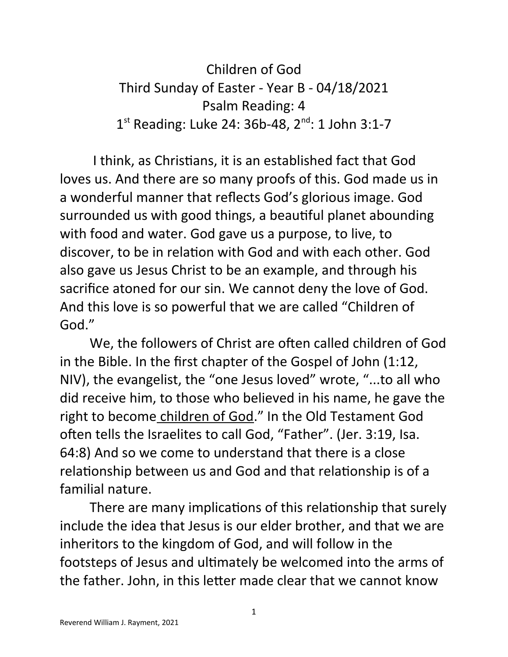Children of God Third Sunday of Easter - Year B - 04/18/2021 Psalm Reading: 4 1<sup>st</sup> Reading: Luke 24: 36b-48, 2<sup>nd</sup>: 1 John 3:1-7

 I think, as Christians, it is an established fact that God loves us. And there are so many proofs of this. God made us in a wonderful manner that reflects God's glorious image. God surrounded us with good things, a beautiful planet abounding with food and water. God gave us a purpose, to live, to discover, to be in relation with God and with each other. God also gave us Jesus Christ to be an example, and through his sacrifice atoned for our sin. We cannot deny the love of God. And this love is so powerful that we are called "Children of God."

We, the followers of Christ are often called children of God in the Bible. In the first chapter of the Gospel of John (1:12, NIV), the evangelist, the "one Jesus loved" wrote, "...to all who did receive him, to those who believed in his name, he gave the right to become children of God." In the Old Testament God often tells the Israelites to call God, "Father". (Jer. 3:19, Isa. 64:8) And so we come to understand that there is a close relationship between us and God and that relationship is of a familial nature.

There are many implications of this relationship that surely include the idea that Jesus is our elder brother, and that we are inheritors to the kingdom of God, and will follow in the footsteps of Jesus and ultimately be welcomed into the arms of the father. John, in this letter made clear that we cannot know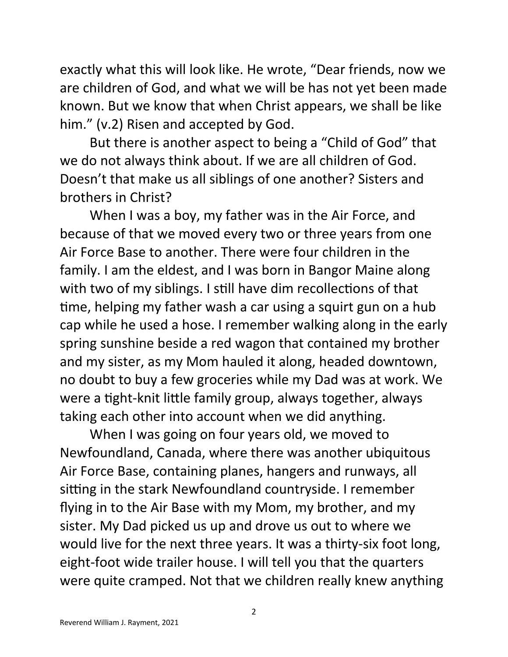exactly what this will look like. He wrote, "Dear friends, now we are children of God, and what we will be has not yet been made known. But we know that when Christ appears, we shall be like him." (v.2) Risen and accepted by God.

But there is another aspect to being a "Child of God" that we do not always think about. If we are all children of God. Doesn't that make us all siblings of one another? Sisters and brothers in Christ?

When I was a boy, my father was in the Air Force, and because of that we moved every two or three years from one Air Force Base to another. There were four children in the family. I am the eldest, and I was born in Bangor Maine along with two of my siblings. I still have dim recollections of that time, helping my father wash a car using a squirt gun on a hub cap while he used a hose. I remember walking along in the early spring sunshine beside a red wagon that contained my brother and my sister, as my Mom hauled it along, headed downtown, no doubt to buy a few groceries while my Dad was at work. We were a tight-knit little family group, always together, always taking each other into account when we did anything.

When I was going on four years old, we moved to Newfoundland, Canada, where there was another ubiquitous Air Force Base, containing planes, hangers and runways, all sitting in the stark Newfoundland countryside. I remember flying in to the Air Base with my Mom, my brother, and my sister. My Dad picked us up and drove us out to where we would live for the next three years. It was a thirty-six foot long, eight-foot wide trailer house. I will tell you that the quarters were quite cramped. Not that we children really knew anything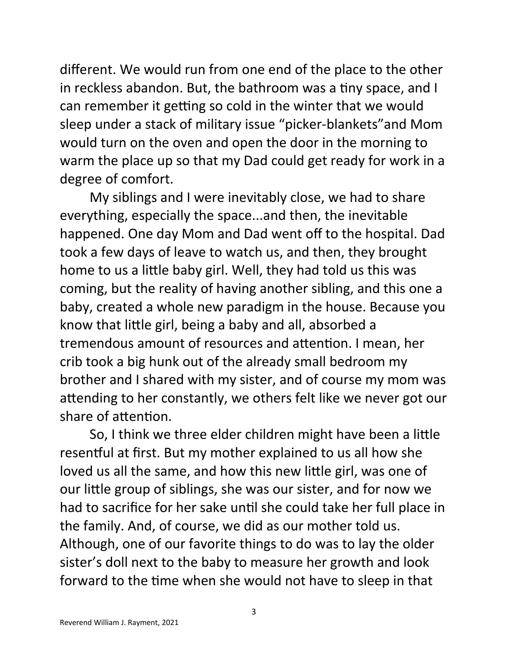different. We would run from one end of the place to the other in reckless abandon. But, the bathroom was a tiny space, and I can remember it getting so cold in the winter that we would sleep under a stack of military issue "picker-blankets"and Mom would turn on the oven and open the door in the morning to warm the place up so that my Dad could get ready for work in a degree of comfort.

My siblings and I were inevitably close, we had to share everything, especially the space...and then, the inevitable happened. One day Mom and Dad went off to the hospital. Dad took a few days of leave to watch us, and then, they brought home to us a little baby girl. Well, they had told us this was coming, but the reality of having another sibling, and this one a baby, created a whole new paradigm in the house. Because you know that little girl, being a baby and all, absorbed a tremendous amount of resources and attention. I mean, her crib took a big hunk out of the already small bedroom my brother and I shared with my sister, and of course my mom was attending to her constantly, we others felt like we never got our share of attention.

So, I think we three elder children might have been a little resentful at first. But my mother explained to us all how she loved us all the same, and how this new little girl, was one of our little group of siblings, she was our sister, and for now we had to sacrifice for her sake until she could take her full place in the family. And, of course, we did as our mother told us. Although, one of our favorite things to do was to lay the older sister's doll next to the baby to measure her growth and look forward to the time when she would not have to sleep in that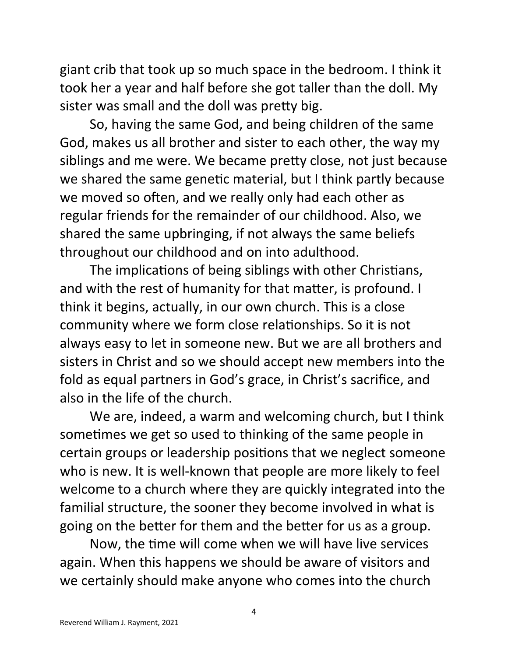giant crib that took up so much space in the bedroom. I think it took her a year and half before she got taller than the doll. My sister was small and the doll was pretty big.

So, having the same God, and being children of the same God, makes us all brother and sister to each other, the way my siblings and me were. We became pretty close, not just because we shared the same genetic material, but I think partly because we moved so often, and we really only had each other as regular friends for the remainder of our childhood. Also, we shared the same upbringing, if not always the same beliefs throughout our childhood and on into adulthood.

The implications of being siblings with other Christians, and with the rest of humanity for that matter, is profound. I think it begins, actually, in our own church. This is a close community where we form close relationships. So it is not always easy to let in someone new. But we are all brothers and sisters in Christ and so we should accept new members into the fold as equal partners in God's grace, in Christ's sacrifice, and also in the life of the church.

We are, indeed, a warm and welcoming church, but I think sometimes we get so used to thinking of the same people in certain groups or leadership positions that we neglect someone who is new. It is well-known that people are more likely to feel welcome to a church where they are quickly integrated into the familial structure, the sooner they become involved in what is going on the better for them and the better for us as a group.

Now, the time will come when we will have live services again. When this happens we should be aware of visitors and we certainly should make anyone who comes into the church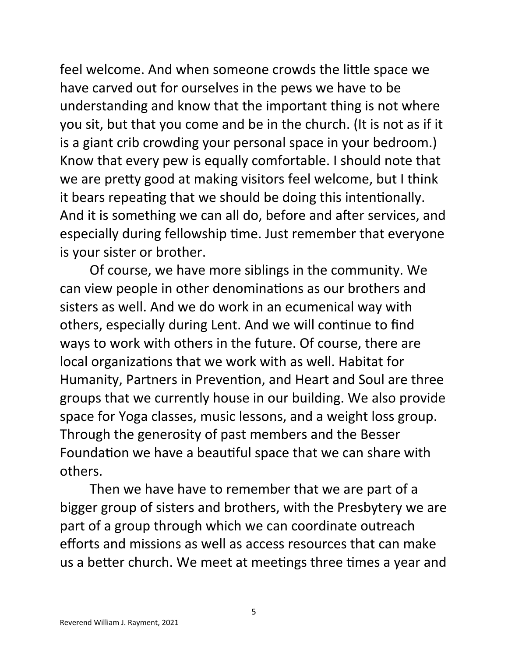feel welcome. And when someone crowds the little space we have carved out for ourselves in the pews we have to be understanding and know that the important thing is not where you sit, but that you come and be in the church. (It is not as if it is a giant crib crowding your personal space in your bedroom.) Know that every pew is equally comfortable. I should note that we are pretty good at making visitors feel welcome, but I think it bears repeating that we should be doing this intentionally. And it is something we can all do, before and after services, and especially during fellowship time. Just remember that everyone is your sister or brother.

Of course, we have more siblings in the community. We can view people in other denominations as our brothers and sisters as well. And we do work in an ecumenical way with others, especially during Lent. And we will continue to find ways to work with others in the future. Of course, there are local organizations that we work with as well. Habitat for Humanity, Partners in Prevention, and Heart and Soul are three groups that we currently house in our building. We also provide space for Yoga classes, music lessons, and a weight loss group. Through the generosity of past members and the Besser Foundation we have a beautiful space that we can share with others.

Then we have have to remember that we are part of a bigger group of sisters and brothers, with the Presbytery we are part of a group through which we can coordinate outreach efforts and missions as well as access resources that can make us a better church. We meet at meetings three times a year and